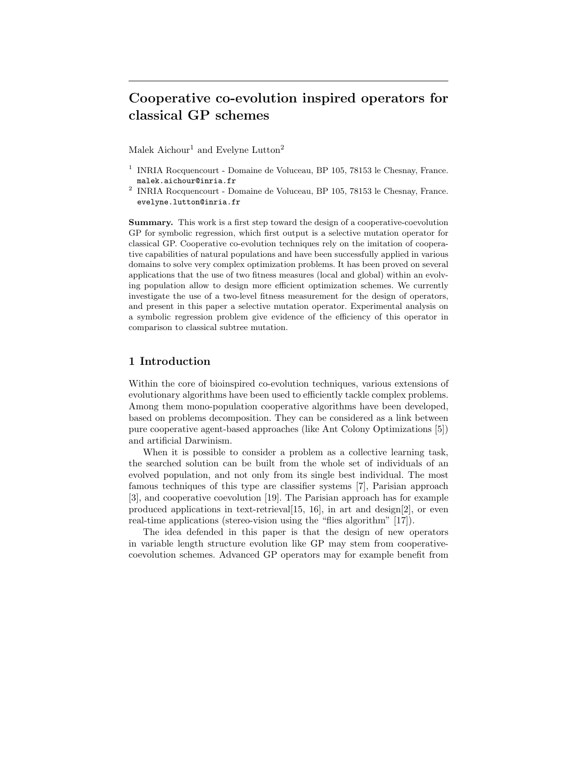# Cooperative co-evolution inspired operators for classical GP schemes

Malek Aichour<sup>1</sup> and Evelyne Lutton<sup>2</sup>

- <sup>1</sup> INRIA Rocquencourt Domaine de Voluceau, BP 105, 78153 le Chesnay, France. malek.aichour@inria.fr
- 2 INRIA Rocquencourt Domaine de Voluceau, BP 105, 78153 le Chesnay, France. evelyne.lutton@inria.fr

Summary. This work is a first step toward the design of a cooperative-coevolution GP for symbolic regression, which first output is a selective mutation operator for classical GP. Cooperative co-evolution techniques rely on the imitation of cooperative capabilities of natural populations and have been successfully applied in various domains to solve very complex optimization problems. It has been proved on several applications that the use of two fitness measures (local and global) within an evolving population allow to design more efficient optimization schemes. We currently investigate the use of a two-level fitness measurement for the design of operators, and present in this paper a selective mutation operator. Experimental analysis on a symbolic regression problem give evidence of the efficiency of this operator in comparison to classical subtree mutation.

# 1 Introduction

Within the core of bioinspired co-evolution techniques, various extensions of evolutionary algorithms have been used to efficiently tackle complex problems. Among them mono-population cooperative algorithms have been developed, based on problems decomposition. They can be considered as a link between pure cooperative agent-based approaches (like Ant Colony Optimizations [5]) and artificial Darwinism.

When it is possible to consider a problem as a collective learning task, the searched solution can be built from the whole set of individuals of an evolved population, and not only from its single best individual. The most famous techniques of this type are classifier systems [7], Parisian approach [3], and cooperative coevolution [19]. The Parisian approach has for example produced applications in text-retrieval[15, 16], in art and design[2], or even real-time applications (stereo-vision using the "flies algorithm" [17]).

The idea defended in this paper is that the design of new operators in variable length structure evolution like GP may stem from cooperativecoevolution schemes. Advanced GP operators may for example benefit from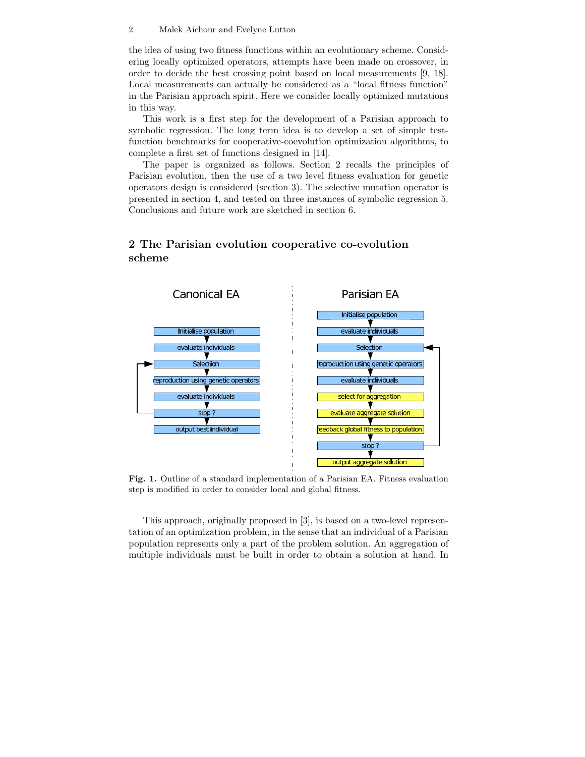the idea of using two fitness functions within an evolutionary scheme. Considering locally optimized operators, attempts have been made on crossover, in order to decide the best crossing point based on local measurements [9, 18]. Local measurements can actually be considered as a "local fitness function" in the Parisian approach spirit. Here we consider locally optimized mutations in this way.

This work is a first step for the development of a Parisian approach to symbolic regression. The long term idea is to develop a set of simple testfunction benchmarks for cooperative-coevolution optimization algorithms, to complete a first set of functions designed in [14].

The paper is organized as follows. Section 2 recalls the principles of Parisian evolution, then the use of a two level fitness evaluation for genetic operators design is considered (section 3). The selective mutation operator is presented in section 4, and tested on three instances of symbolic regression 5. Conclusions and future work are sketched in section 6.



# 2 The Parisian evolution cooperative co-evolution scheme

Fig. 1. Outline of a standard implementation of a Parisian EA. Fitness evaluation step is modified in order to consider local and global fitness.

This approach, originally proposed in [3], is based on a two-level representation of an optimization problem, in the sense that an individual of a Parisian population represents only a part of the problem solution. An aggregation of multiple individuals must be built in order to obtain a solution at hand. In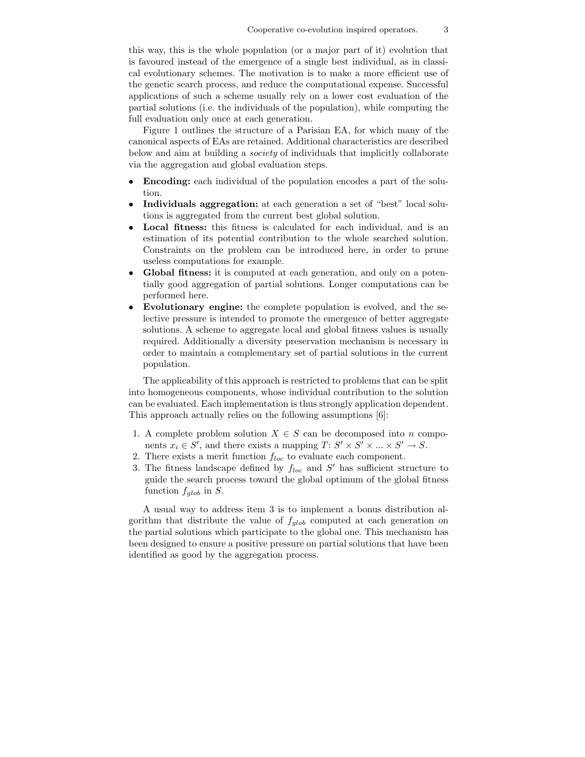this way, this is the whole population (or a major part of it) evolution that is favoured instead of the emergence of a single best individual, as in classical evolutionary schemes. The motivation is to make a more efficient use of the genetic search process, and reduce the computational expense. Successful applications of such a scheme usually rely on a lower cost evaluation of the partial solutions (i.e. the individuals of the population), while computing the full evaluation only once at each generation.

Figure 1 outlines the structure of a Parisian EA, for which many of the canonical aspects of EAs are retained. Additional characteristics are described below and aim at building a *society* of individuals that implicitly collaborate via the aggregation and global evaluation steps.

- Encoding: each individual of the population encodes a part of the solution.
- Individuals aggregation: at each generation a set of "best" local solutions is aggregated from the current best global solution.
- Local fitness: this fitness is calculated for each individual, and is an estimation of its potential contribution to the whole searched solution. Constraints on the problem can be introduced here, in order to prune useless computations for example.
- Global fitness: it is computed at each generation, and only on a potentially good aggregation of partial solutions. Longer computations can be performed here.
- Evolutionary engine: the complete population is evolved, and the selective pressure is intended to promote the emergence of better aggregate solutions. A scheme to aggregate local and global fitness values is usually required. Additionally a diversity preservation mechanism is necessary in order to maintain a complementary set of partial solutions in the current population.

The applicability of this approach is restricted to problems that can be split into homogeneous components, whose individual contribution to the solution can be evaluated. Each implementation is thus strongly application dependent. This approach actually relies on the following assumptions [6]:

- 1. A complete problem solution  $X \in S$  can be decomposed into n components  $x_i \in S'$ , and there exists a mapping  $T: S' \times S' \times \dots \times S' \to S$ .
- 2. There exists a merit function  $f_{loc}$  to evaluate each component.
- 3. The fitness landscape defined by  $f_{loc}$  and  $S'$  has sufficient structure to guide the search process toward the global optimum of the global fitness function  $f_{glob}$  in S.

A usual way to address item 3 is to implement a bonus distribution algorithm that distribute the value of  $f_{qlob}$  computed at each generation on the partial solutions which participate to the global one. This mechanism has been designed to ensure a positive pressure on partial solutions that have been identified as good by the aggregation process.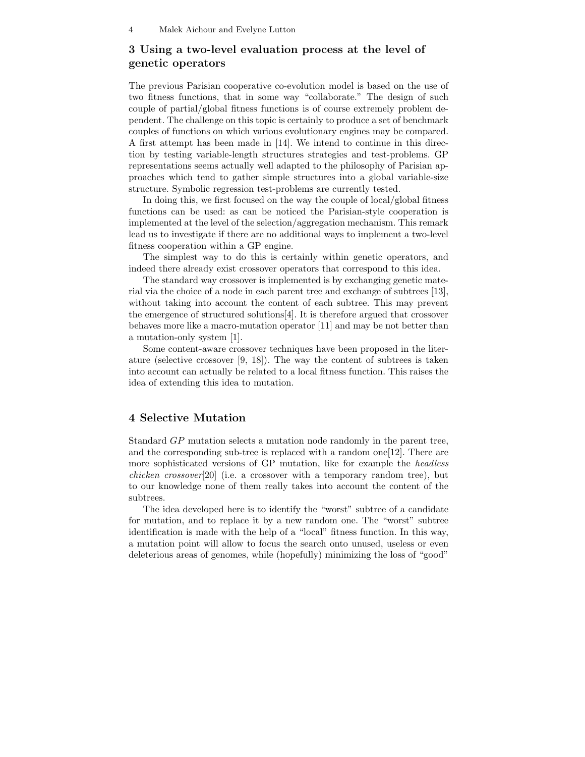# 3 Using a two-level evaluation process at the level of genetic operators

The previous Parisian cooperative co-evolution model is based on the use of two fitness functions, that in some way "collaborate." The design of such couple of partial/global fitness functions is of course extremely problem dependent. The challenge on this topic is certainly to produce a set of benchmark couples of functions on which various evolutionary engines may be compared. A first attempt has been made in [14]. We intend to continue in this direction by testing variable-length structures strategies and test-problems. GP representations seems actually well adapted to the philosophy of Parisian approaches which tend to gather simple structures into a global variable-size structure. Symbolic regression test-problems are currently tested.

In doing this, we first focused on the way the couple of local/global fitness functions can be used: as can be noticed the Parisian-style cooperation is implemented at the level of the selection/aggregation mechanism. This remark lead us to investigate if there are no additional ways to implement a two-level fitness cooperation within a GP engine.

The simplest way to do this is certainly within genetic operators, and indeed there already exist crossover operators that correspond to this idea.

The standard way crossover is implemented is by exchanging genetic material via the choice of a node in each parent tree and exchange of subtrees [13], without taking into account the content of each subtree. This may prevent the emergence of structured solutions[4]. It is therefore argued that crossover behaves more like a macro-mutation operator [11] and may be not better than a mutation-only system [1].

Some content-aware crossover techniques have been proposed in the literature (selective crossover  $(9, 18)$ ). The way the content of subtrees is taken into account can actually be related to a local fitness function. This raises the idea of extending this idea to mutation.

## 4 Selective Mutation

Standard GP mutation selects a mutation node randomly in the parent tree, and the corresponding sub-tree is replaced with a random one[12]. There are more sophisticated versions of GP mutation, like for example the headless chicken crossover[20] (i.e. a crossover with a temporary random tree), but to our knowledge none of them really takes into account the content of the subtrees.

The idea developed here is to identify the "worst" subtree of a candidate for mutation, and to replace it by a new random one. The "worst" subtree identification is made with the help of a "local" fitness function. In this way, a mutation point will allow to focus the search onto unused, useless or even deleterious areas of genomes, while (hopefully) minimizing the loss of "good"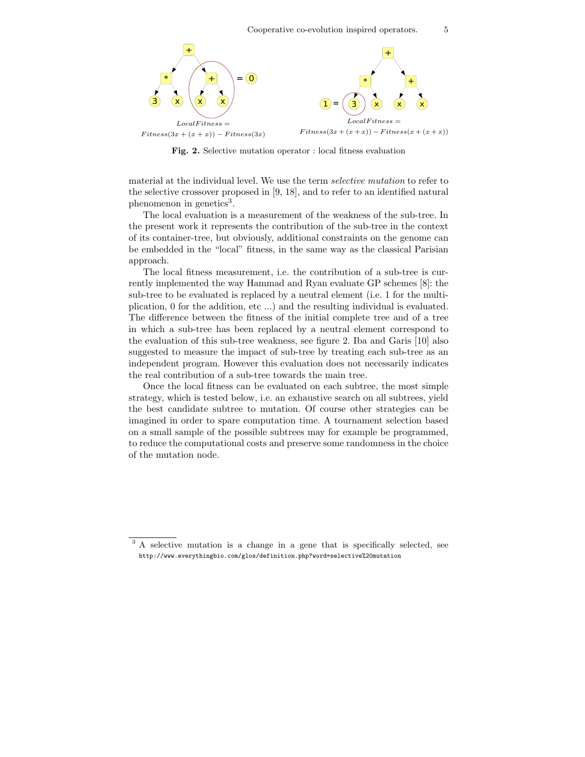

Fig. 2. Selective mutation operator : local fitness evaluation

material at the individual level. We use the term *selective mutation* to refer to the selective crossover proposed in [9, 18], and to refer to an identified natural phenomenon in genetics<sup>3</sup>.

The local evaluation is a measurement of the weakness of the sub-tree. In the present work it represents the contribution of the sub-tree in the context of its container-tree, but obviously, additional constraints on the genome can be embedded in the "local" fitness, in the same way as the classical Parisian approach.

The local fitness measurement, i.e. the contribution of a sub-tree is currently implemented the way Hammad and Ryan evaluate GP schemes [8]: the sub-tree to be evaluated is replaced by a neutral element (i.e. 1 for the multiplication, 0 for the addition, etc ...) and the resulting individual is evaluated. The difference between the fitness of the initial complete tree and of a tree in which a sub-tree has been replaced by a neutral element correspond to the evaluation of this sub-tree weakness, see figure 2. Iba and Garis [10] also suggested to measure the impact of sub-tree by treating each sub-tree as an independent program. However this evaluation does not necessarily indicates the real contribution of a sub-tree towards the main tree.

Once the local fitness can be evaluated on each subtree, the most simple strategy, which is tested below, i.e. an exhaustive search on all subtrees, yield the best candidate subtree to mutation. Of course other strategies can be imagined in order to spare computation time. A tournament selection based on a small sample of the possible subtrees may for example be programmed, to reduce the computational costs and preserve some randomness in the choice of the mutation node.

<sup>&</sup>lt;sup>3</sup> A selective mutation is a change in a gene that is specifically selected, see http://www.everythingbio.com/glos/definition.php?word=selective%20mutation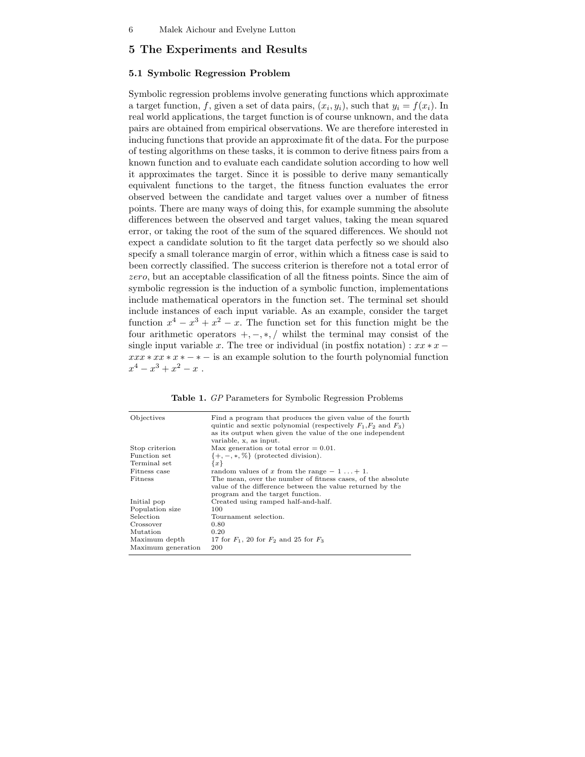### 5 The Experiments and Results

#### 5.1 Symbolic Regression Problem

Symbolic regression problems involve generating functions which approximate a target function, f, given a set of data pairs,  $(x_i, y_i)$ , such that  $y_i = f(x_i)$ . In real world applications, the target function is of course unknown, and the data pairs are obtained from empirical observations. We are therefore interested in inducing functions that provide an approximate fit of the data. For the purpose of testing algorithms on these tasks, it is common to derive fitness pairs from a known function and to evaluate each candidate solution according to how well it approximates the target. Since it is possible to derive many semantically equivalent functions to the target, the fitness function evaluates the error observed between the candidate and target values over a number of fitness points. There are many ways of doing this, for example summing the absolute differences between the observed and target values, taking the mean squared error, or taking the root of the sum of the squared differences. We should not expect a candidate solution to fit the target data perfectly so we should also specify a small tolerance margin of error, within which a fitness case is said to been correctly classified. The success criterion is therefore not a total error of zero, but an acceptable classification of all the fitness points. Since the aim of symbolic regression is the induction of a symbolic function, implementations include mathematical operators in the function set. The terminal set should include instances of each input variable. As an example, consider the target function  $x^4 - x^3 + x^2 - x$ . The function set for this function might be the four arithmetic operators  $+, -, *, /$  whilst the terminal may consist of the single input variable x. The tree or individual (in postfix notation) :  $xx * x$  $xxx * xx * - * -$  is an example solution to the fourth polynomial function  $x^4 - x^3 + x^2 - x$ .

Table 1. GP Parameters for Symbolic Regression Problems

| Objectives         | Find a program that produces the given value of the fourth<br>quintic and sextic polynomial (respectively $F_1, F_2$ and $F_3$ )<br>as its output when given the value of the one independent<br>variable, x, as input. |
|--------------------|-------------------------------------------------------------------------------------------------------------------------------------------------------------------------------------------------------------------------|
| Stop criterion     | Max generation or total error $= 0.01$ .                                                                                                                                                                                |
| Function set       | $\{+, -, *, %\}$ (protected division).                                                                                                                                                                                  |
| Terminal set       | $\{x\}$                                                                                                                                                                                                                 |
| Fitness case       | random values of x from the range $-1+1$ .                                                                                                                                                                              |
| Fitness            | The mean, over the number of fitness cases, of the absolute<br>value of the difference between the value returned by the<br>program and the target function.                                                            |
| Initial pop        | Created using ramped half-and-half.                                                                                                                                                                                     |
| Population size    | 100                                                                                                                                                                                                                     |
| Selection          | Tournament selection.                                                                                                                                                                                                   |
| Crossover          | 0.80                                                                                                                                                                                                                    |
| Mutation           | 0.20                                                                                                                                                                                                                    |
| Maximum depth      | 17 for $F_1$ , 20 for $F_2$ and 25 for $F_3$                                                                                                                                                                            |
| Maximum generation | 200                                                                                                                                                                                                                     |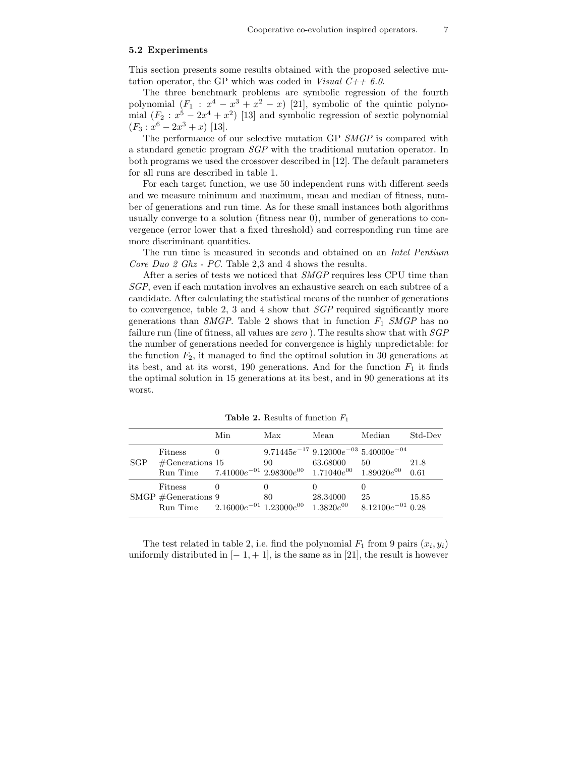#### 5.2 Experiments

This section presents some results obtained with the proposed selective mutation operator, the GP which was coded in Visual  $C++$  6.0.

The three benchmark problems are symbolic regression of the fourth polynomial  $(F_1: x^4 - x^3 + x^2 - x)$  [21], symbolic of the quintic polynomial  $(F_2 : x^5 - 2x^4 + x^2)$  [13] and symbolic regression of sextic polynomial  $(F_3: x^6 - 2x^3 + x)$  [13].

The performance of our selective mutation GP SMGP is compared with a standard genetic program SGP with the traditional mutation operator. In both programs we used the crossover described in [12]. The default parameters for all runs are described in table 1.

For each target function, we use 50 independent runs with different seeds and we measure minimum and maximum, mean and median of fitness, number of generations and run time. As for these small instances both algorithms usually converge to a solution (fitness near 0), number of generations to convergence (error lower that a fixed threshold) and corresponding run time are more discriminant quantities.

The run time is measured in seconds and obtained on an Intel Pentium Core Duo 2 Ghz - PC. Table 2,3 and 4 shows the results.

After a series of tests we noticed that SMGP requires less CPU time than SGP, even if each mutation involves an exhaustive search on each subtree of a candidate. After calculating the statistical means of the number of generations to convergence, table 2, 3 and 4 show that SGP required significantly more generations than SMGP. Table 2 shows that in function  $F_1$  SMGP has no failure run (line of fitness, all values are *zero*). The results show that with *SGP* the number of generations needed for convergence is highly unpredictable: for the function  $F_2$ , it managed to find the optimal solution in 30 generations at its best, and at its worst, 190 generations. And for the function  $F_1$  it finds the optimal solution in 15 generations at its best, and in 90 generations at its worst.

|     |                                                                                                                             | Min | Max            | Mean                                                           | Median | Std-Dev      |
|-----|-----------------------------------------------------------------------------------------------------------------------------|-----|----------------|----------------------------------------------------------------|--------|--------------|
| SGP | Fitness<br>$\#$ Generations 15<br>Run Time $7.41000e^{-01}$ $2.98300e^{00}$ $1.71040e^{00}$ $1.89020e^{00}$                 |     | 90             | $9.71445e^{-17}$ $9.12000e^{-03}$ $5.40000e^{-04}$<br>63.68000 | 50     | 21.8<br>0.61 |
|     | <b>Fitness</b><br>SMGP $#Generations 9$<br>Run Time $2.16000e^{-01}$ $1.23000e^{00}$ $1.3820e^{00}$ $8.12100e^{-01}$ $0.28$ |     | $\theta$<br>80 | $\cup$<br>28.34000                                             | 25     | 15.85        |

**Table 2.** Results of function  $F_1$ 

The test related in table 2, i.e. find the polynomial  $F_1$  from 9 pairs  $(x_i, y_i)$ uniformly distributed in  $[-1, +1]$ , is the same as in [21], the result is however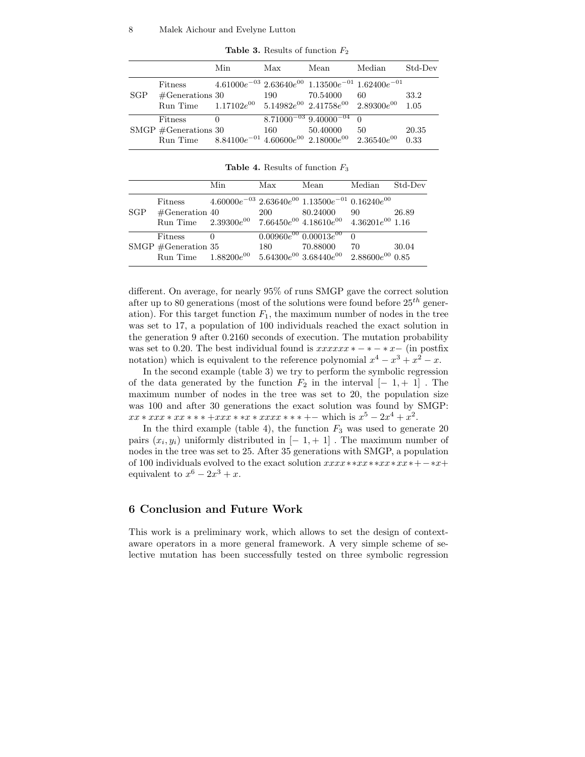|            |                                                                                                                       | Min      | Max | Mean                                                                              | Median | Std-Dev       |
|------------|-----------------------------------------------------------------------------------------------------------------------|----------|-----|-----------------------------------------------------------------------------------|--------|---------------|
| <b>SGP</b> | Fitness<br>$\#$ Generations 30<br>Run Time $1.17102e^{00}$ $5.14982e^{00}$ $2.41758e^{00}$ $2.89300e^{00}$ $1.05$     |          | 190 | $4.61000e^{-03}$ $2.63640e^{00}$ $1.13500e^{-01}$ $1.62400e^{-01}$<br>70.54000 60 |        | 33.2          |
|            | <b>Fitness</b><br>SMGP $#Generations$ 30<br>Run Time $8.84100e^{-01}$ $4.60600e^{00}$ $2.18000e^{00}$ $2.36540e^{00}$ | $\Omega$ | 160 | $8.71000^{-03}$ 9.40000 <sup>-04</sup> 0<br>50.40000                              | 50     | 20.35<br>0.33 |

**Table 3.** Results of function  $F_2$ 

**Table 4.** Results of function  $F_3$ 

|     |                                                                                                                  | Min            | Max   | Mean                                                                                                     | Median   | Std-Dev |
|-----|------------------------------------------------------------------------------------------------------------------|----------------|-------|----------------------------------------------------------------------------------------------------------|----------|---------|
| SGP | Fitness<br>$\#$ Generation 40<br>Run Time $2.39300e^{00}$ $7.66450e^{00}$ $4.18610e^{00}$ $4.36201e^{00}$ $1.16$ |                | 200   | $4.60000e^{-03}$ $2.63640e^{00}$ $1.13500e^{-01}$ $0.16240e^{00}$<br>80.24000 90                         |          | 26.89   |
|     | Fitness<br>SMGP $#Generation 35$<br>Run Time $1.88200e^{00}$                                                     | $\overline{0}$ | 180 — | $0.00960e^{00}$ $0.00013e^{00}$<br>70.88000 70<br>$5.64300e^{00}$ $3.68440e^{00}$ $2.88600e^{00}$ $0.85$ | $\Omega$ | 30.04   |

different. On average, for nearly 95% of runs SMGP gave the correct solution after up to 80 generations (most of the solutions were found before  $25^{th}$  generation). For this target function  $F_1$ , the maximum number of nodes in the tree was set to 17, a population of 100 individuals reached the exact solution in the generation 9 after 0.2160 seconds of execution. The mutation probability was set to 0.20. The best individual found is  $xxxxxx * - * - * x-$  (in postfix notation) which is equivalent to the reference polynomial  $x^4 - x^3 + x^2 - x$ .

In the second example (table 3) we try to perform the symbolic regression of the data generated by the function  $F_2$  in the interval  $[-1, +1]$ . The maximum number of nodes in the tree was set to 20, the population size was 100 and after 30 generations the exact solution was found by SMGP:  $xx * xxx * xxx * \cdots + xxx * xxxx * \cdots + -$  which is  $x^5 - 2x^4 + x^2$ .

In the third example (table 4), the function  $F_3$  was used to generate 20 pairs  $(x_i, y_i)$  uniformly distributed in  $[-1, +1]$ . The maximum number of nodes in the tree was set to 25. After 35 generations with SMGP, a population of 100 individuals evolved to the exact solution xxxx∗∗xx∗∗xx∗xx∗+−∗x+ equivalent to  $x^6 - 2x^3 + x$ .

# 6 Conclusion and Future Work

This work is a preliminary work, which allows to set the design of contextaware operators in a more general framework. A very simple scheme of selective mutation has been successfully tested on three symbolic regression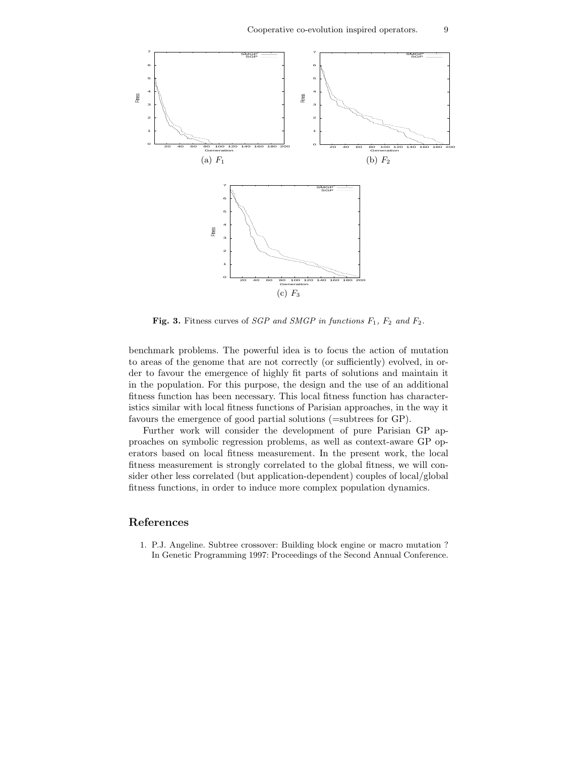

Fig. 3. Fitness curves of SGP and SMGP in functions  $F_1$ ,  $F_2$  and  $F_2$ .

benchmark problems. The powerful idea is to focus the action of mutation to areas of the genome that are not correctly (or sufficiently) evolved, in order to favour the emergence of highly fit parts of solutions and maintain it in the population. For this purpose, the design and the use of an additional fitness function has been necessary. This local fitness function has characteristics similar with local fitness functions of Parisian approaches, in the way it favours the emergence of good partial solutions (=subtrees for GP).

Further work will consider the development of pure Parisian GP approaches on symbolic regression problems, as well as context-aware GP operators based on local fitness measurement. In the present work, the local fitness measurement is strongly correlated to the global fitness, we will consider other less correlated (but application-dependent) couples of local/global fitness functions, in order to induce more complex population dynamics.

## References

1. P.J. Angeline. Subtree crossover: Building block engine or macro mutation ? In Genetic Programming 1997: Proceedings of the Second Annual Conference.